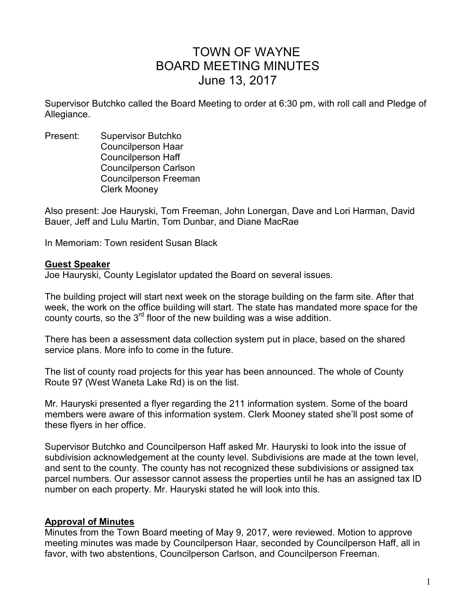# TOWN OF WAYNE BOARD MEETING MINUTES June 13, 2017

Supervisor Butchko called the Board Meeting to order at 6:30 pm, with roll call and Pledge of Allegiance.

Present: Supervisor Butchko Councilperson Haar Councilperson Haff Councilperson Carlson Councilperson Freeman Clerk Mooney

Also present: Joe Hauryski, Tom Freeman, John Lonergan, Dave and Lori Harman, David Bauer, Jeff and Lulu Martin, Tom Dunbar, and Diane MacRae

In Memoriam: Town resident Susan Black

#### **Guest Speaker**

Joe Hauryski, County Legislator updated the Board on several issues.

The building project will start next week on the storage building on the farm site. After that week, the work on the office building will start. The state has mandated more space for the county courts, so the  $3<sup>rd</sup>$  floor of the new building was a wise addition.

There has been a assessment data collection system put in place, based on the shared service plans. More info to come in the future.

The list of county road projects for this year has been announced. The whole of County Route 97 (West Waneta Lake Rd) is on the list.

Mr. Hauryski presented a flyer regarding the 211 information system. Some of the board members were aware of this information system. Clerk Mooney stated she'll post some of these flyers in her office.

Supervisor Butchko and Councilperson Haff asked Mr. Hauryski to look into the issue of subdivision acknowledgement at the county level. Subdivisions are made at the town level, and sent to the county. The county has not recognized these subdivisions or assigned tax parcel numbers. Our assessor cannot assess the properties until he has an assigned tax ID number on each property. Mr. Hauryski stated he will look into this.

#### **Approval of Minutes**

Minutes from the Town Board meeting of May 9, 2017, were reviewed. Motion to approve meeting minutes was made by Councilperson Haar, seconded by Councilperson Haff, all in favor, with two abstentions, Councilperson Carlson, and Councilperson Freeman.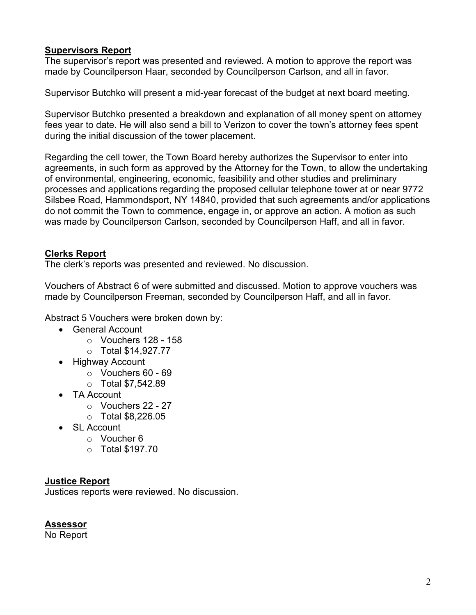# **Supervisors Report**

The supervisor's report was presented and reviewed. A motion to approve the report was made by Councilperson Haar, seconded by Councilperson Carlson, and all in favor.

Supervisor Butchko will present a mid-year forecast of the budget at next board meeting.

Supervisor Butchko presented a breakdown and explanation of all money spent on attorney fees year to date. He will also send a bill to Verizon to cover the town's attorney fees spent during the initial discussion of the tower placement.

Regarding the cell tower, the Town Board hereby authorizes the Supervisor to enter into agreements, in such form as approved by the Attorney for the Town, to allow the undertaking of environmental, engineering, economic, feasibility and other studies and preliminary processes and applications regarding the proposed cellular telephone tower at or near 9772 Silsbee Road, Hammondsport, NY 14840, provided that such agreements and/or applications do not commit the Town to commence, engage in, or approve an action. A motion as such was made by Councilperson Carlson, seconded by Councilperson Haff, and all in favor.

# **Clerks Report**

The clerk's reports was presented and reviewed. No discussion.

Vouchers of Abstract 6 of were submitted and discussed. Motion to approve vouchers was made by Councilperson Freeman, seconded by Councilperson Haff, and all in favor.

Abstract 5 Vouchers were broken down by:

- General Account
	- $\circ$  Vouchers 128 158
	- o Total \$14,927.77
- Highway Account
	- o Vouchers 60 69
	- o Total \$7,542.89
- TA Account
	- o Vouchers 22 27
	- $\circ$  Total \$8.226.05
- SL Account
	- o Voucher 6
	- o Total \$197.70

# **Justice Report**

Justices reports were reviewed. No discussion.

# **Assessor**

No Report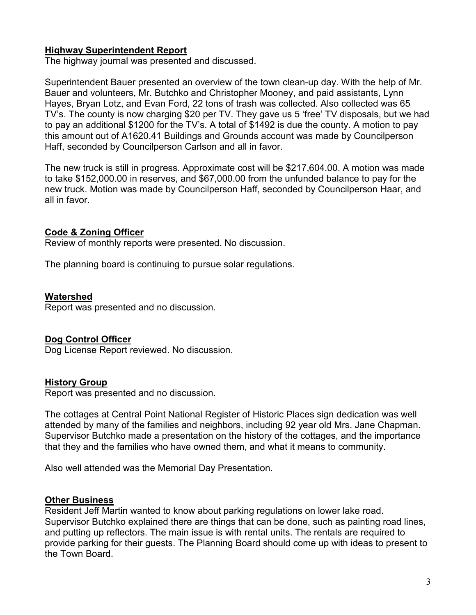# **Highway Superintendent Report**

The highway journal was presented and discussed.

Superintendent Bauer presented an overview of the town clean-up day. With the help of Mr. Bauer and volunteers, Mr. Butchko and Christopher Mooney, and paid assistants, Lynn Hayes, Bryan Lotz, and Evan Ford, 22 tons of trash was collected. Also collected was 65 TV's. The county is now charging \$20 per TV. They gave us 5 'free' TV disposals, but we had to pay an additional \$1200 for the TV's. A total of \$1492 is due the county. A motion to pay this amount out of A1620.41 Buildings and Grounds account was made by Councilperson Haff, seconded by Councilperson Carlson and all in favor.

The new truck is still in progress. Approximate cost will be \$217,604.00. A motion was made to take \$152,000.00 in reserves, and \$67,000.00 from the unfunded balance to pay for the new truck. Motion was made by Councilperson Haff, seconded by Councilperson Haar, and all in favor.

### **Code & Zoning Officer**

Review of monthly reports were presented. No discussion.

The planning board is continuing to pursue solar regulations.

#### **Watershed**

Report was presented and no discussion.

#### **Dog Control Officer**

Dog License Report reviewed. No discussion.

#### **History Group**

Report was presented and no discussion.

The cottages at Central Point National Register of Historic Places sign dedication was well attended by many of the families and neighbors, including 92 year old Mrs. Jane Chapman. Supervisor Butchko made a presentation on the history of the cottages, and the importance that they and the families who have owned them, and what it means to community.

Also well attended was the Memorial Day Presentation.

#### **Other Business**

Resident Jeff Martin wanted to know about parking regulations on lower lake road. Supervisor Butchko explained there are things that can be done, such as painting road lines, and putting up reflectors. The main issue is with rental units. The rentals are required to provide parking for their guests. The Planning Board should come up with ideas to present to the Town Board.